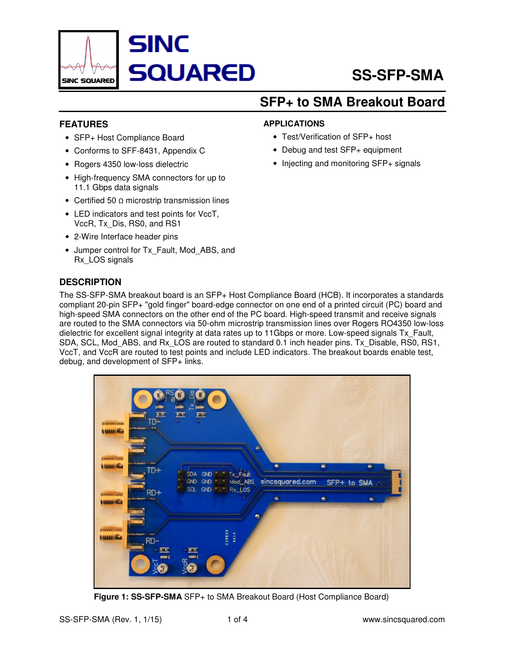

## **SFP+ to SMA Breakout Board**

#### **FEATURES**

- SFP+ Host Compliance Board
- Conforms to SFF-8431, Appendix C
- Rogers 4350 low-loss dielectric
- High-frequency SMA connectors for up to 11.1 Gbps data signals
- Certified 50 Ω microstrip transmission lines
- LED indicators and test points for VccT, VccR, Tx\_Dis, RS0, and RS1
- 2-Wire Interface header pins
- Jumper control for Tx\_Fault, Mod\_ABS, and Rx\_LOS signals

#### **DESCRIPTION**

# **APPLICATIONS**

- Test/Verification of SFP+ host
- Debug and test SFP+ equipment
- Injecting and monitoring SFP+ signals

The SS-SFP-SMA breakout board is an SFP+ Host Compliance Board (HCB). It incorporates a standards compliant 20-pin SFP+ "gold finger" board-edge connector on one end of a printed circuit (PC) board and high-speed SMA connectors on the other end of the PC board. High-speed transmit and receive signals are routed to the SMA connectors via 50-ohm microstrip transmission lines over Rogers RO4350 low-loss dielectric for excellent signal integrity at data rates up to 11Gbps or more. Low-speed signals Tx\_Fault, SDA, SCL, Mod\_ABS, and Rx\_LOS are routed to standard 0.1 inch header pins. Tx\_Disable, RS0, RS1, VccT, and VccR are routed to test points and include LED indicators. The breakout boards enable test, debug, and development of SFP+ links.



**Figure 1: SS-SFP-SMA** SFP+ to SMA Breakout Board (Host Compliance Board)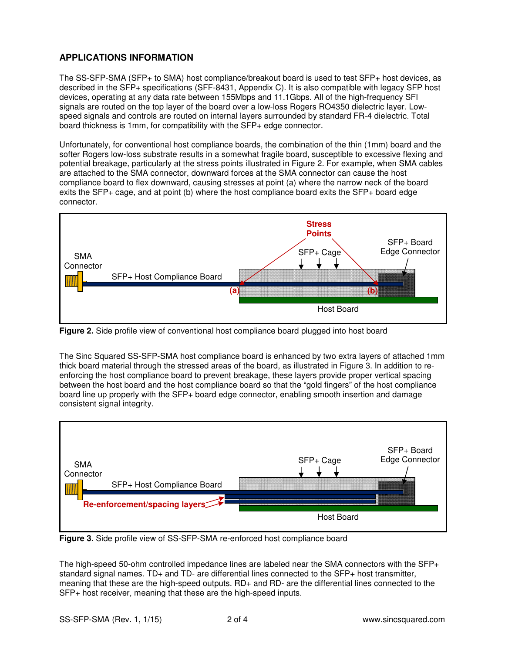#### **APPLICATIONS INFORMATION**

The SS-SFP-SMA (SFP+ to SMA) host compliance/breakout board is used to test SFP+ host devices, as described in the SFP+ specifications (SFF-8431, Appendix C). It is also compatible with legacy SFP host devices, operating at any data rate between 155Mbps and 11.1Gbps. All of the high-frequency SFI signals are routed on the top layer of the board over a low-loss Rogers RO4350 dielectric layer. Lowspeed signals and controls are routed on internal layers surrounded by standard FR-4 dielectric. Total board thickness is 1mm, for compatibility with the SFP+ edge connector.

Unfortunately, for conventional host compliance boards, the combination of the thin (1mm) board and the softer Rogers low-loss substrate results in a somewhat fragile board, susceptible to excessive flexing and potential breakage, particularly at the stress points illustrated in Figure 2. For example, when SMA cables are attached to the SMA connector, downward forces at the SMA connector can cause the host compliance board to flex downward, causing stresses at point (a) where the narrow neck of the board exits the SFP+ cage, and at point (b) where the host compliance board exits the SFP+ board edge connector.



**Figure 2.** Side profile view of conventional host compliance board plugged into host board

The Sinc Squared SS-SFP-SMA host compliance board is enhanced by two extra layers of attached 1mm thick board material through the stressed areas of the board, as illustrated in Figure 3. In addition to reenforcing the host compliance board to prevent breakage, these layers provide proper vertical spacing between the host board and the host compliance board so that the "gold fingers" of the host compliance board line up properly with the SFP+ board edge connector, enabling smooth insertion and damage consistent signal integrity.



**Figure 3.** Side profile view of SS-SFP-SMA re-enforced host compliance board

The high-speed 50-ohm controlled impedance lines are labeled near the SMA connectors with the SFP+ standard signal names. TD+ and TD- are differential lines connected to the SFP+ host transmitter, meaning that these are the high-speed outputs. RD+ and RD- are the differential lines connected to the SFP+ host receiver, meaning that these are the high-speed inputs.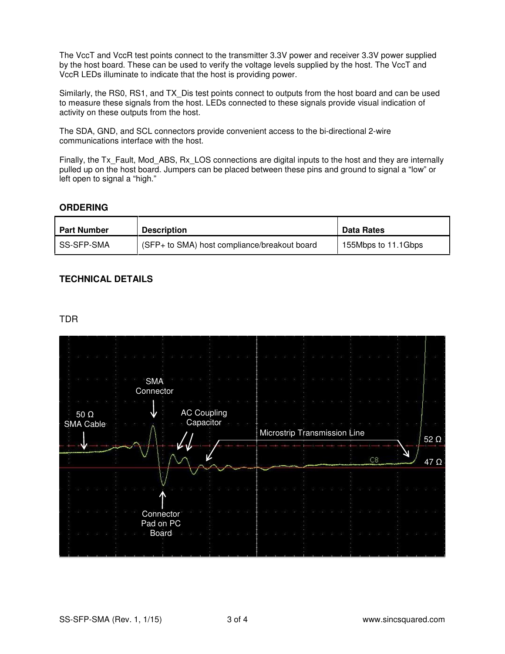The VccT and VccR test points connect to the transmitter 3.3V power and receiver 3.3V power supplied by the host board. These can be used to verify the voltage levels supplied by the host. The VccT and VccR LEDs illuminate to indicate that the host is providing power.

Similarly, the RS0, RS1, and TX\_Dis test points connect to outputs from the host board and can be used to measure these signals from the host. LEDs connected to these signals provide visual indication of activity on these outputs from the host.

The SDA, GND, and SCL connectors provide convenient access to the bi-directional 2-wire communications interface with the host.

Finally, the Tx\_Fault, Mod\_ABS, Rx\_LOS connections are digital inputs to the host and they are internally pulled up on the host board. Jumpers can be placed between these pins and ground to signal a "low" or left open to signal a "high."

#### **ORDERING**

| <b>Part Number</b> | <b>Description</b>                           | <b>Data Rates</b>   |
|--------------------|----------------------------------------------|---------------------|
| SS-SFP-SMA         | (SFP+ to SMA) host compliance/breakout board | 155Mbps to 11.1Gbps |

#### **TECHNICAL DETAILS**

#### TDR